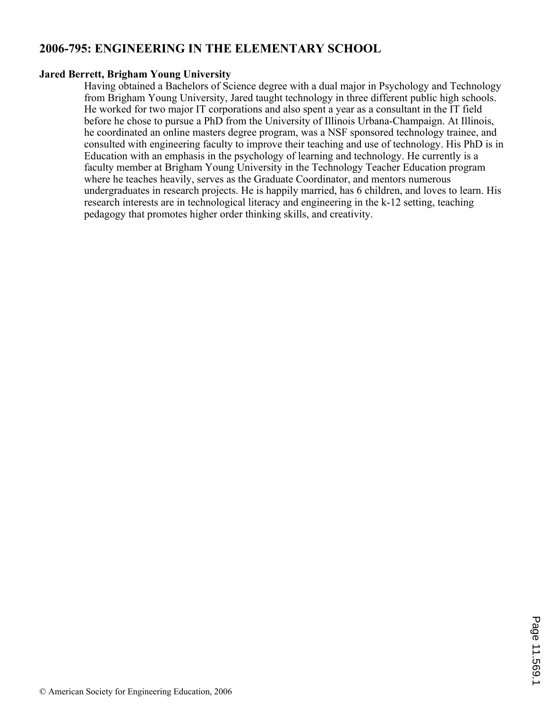# **2006-795: ENGINEERING IN THE ELEMENTARY SCHOOL**

## **Jared Berrett, Brigham Young University**

Having obtained a Bachelors of Science degree with a dual major in Psychology and Technology from Brigham Young University, Jared taught technology in three different public high schools. He worked for two major IT corporations and also spent a year as a consultant in the IT field before he chose to pursue a PhD from the University of Illinois Urbana-Champaign. At Illinois, he coordinated an online masters degree program, was a NSF sponsored technology trainee, and consulted with engineering faculty to improve their teaching and use of technology. His PhD is in Education with an emphasis in the psychology of learning and technology. He currently is a faculty member at Brigham Young University in the Technology Teacher Education program where he teaches heavily, serves as the Graduate Coordinator, and mentors numerous undergraduates in research projects. He is happily married, has 6 children, and loves to learn. His research interests are in technological literacy and engineering in the k-12 setting, teaching pedagogy that promotes higher order thinking skills, and creativity.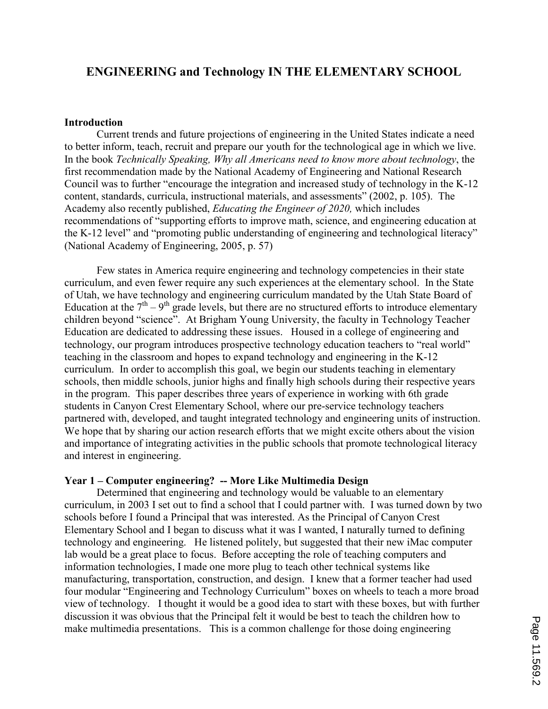## ENGINEERING and Technology IN THE ELEMENTARY SCHOOL

#### Introduction

 Current trends and future projections of engineering in the United States indicate a need to better inform, teach, recruit and prepare our youth for the technological age in which we live. In the book Technically Speaking, Why all Americans need to know more about technology, the first recommendation made by the National Academy of Engineering and National Research Council was to further "encourage the integration and increased study of technology in the K-12 content, standards, curricula, instructional materials, and assessments" (2002, p. 105). The Academy also recently published, Educating the Engineer of 2020, which includes recommendations of "supporting efforts to improve math, science, and engineering education at the K-12 level" and "promoting public understanding of engineering and technological literacy" (National Academy of Engineering, 2005, p. 57)

Few states in America require engineering and technology competencies in their state curriculum, and even fewer require any such experiences at the elementary school. In the State of Utah, we have technology and engineering curriculum mandated by the Utah State Board of Education at the  $7<sup>th</sup> - 9<sup>th</sup>$  grade levels, but there are no structured efforts to introduce elementary children beyond "science". At Brigham Young University, the faculty in Technology Teacher Education are dedicated to addressing these issues. Housed in a college of engineering and technology, our program introduces prospective technology education teachers to "real world" teaching in the classroom and hopes to expand technology and engineering in the K-12 curriculum. In order to accomplish this goal, we begin our students teaching in elementary schools, then middle schools, junior highs and finally high schools during their respective years in the program. This paper describes three years of experience in working with 6th grade students in Canyon Crest Elementary School, where our pre-service technology teachers partnered with, developed, and taught integrated technology and engineering units of instruction. We hope that by sharing our action research efforts that we might excite others about the vision and importance of integrating activities in the public schools that promote technological literacy and interest in engineering.

#### Year 1 – Computer engineering? – More Like Multimedia Design

Determined that engineering and technology would be valuable to an elementary curriculum, in 2003 I set out to find a school that I could partner with. I was turned down by two schools before I found a Principal that was interested. As the Principal of Canyon Crest Elementary School and I began to discuss what it was I wanted, I naturally turned to defining technology and engineering. He listened politely, but suggested that their new iMac computer lab would be a great place to focus. Before accepting the role of teaching computers and information technologies, I made one more plug to teach other technical systems like manufacturing, transportation, construction, and design. I knew that a former teacher had used four modular "Engineering and Technology Curriculum" boxes on wheels to teach a more broad view of technology. I thought it would be a good idea to start with these boxes, but with further discussion it was obvious that the Principal felt it would be best to teach the children how to make multimedia presentations. This is a common challenge for those doing engineering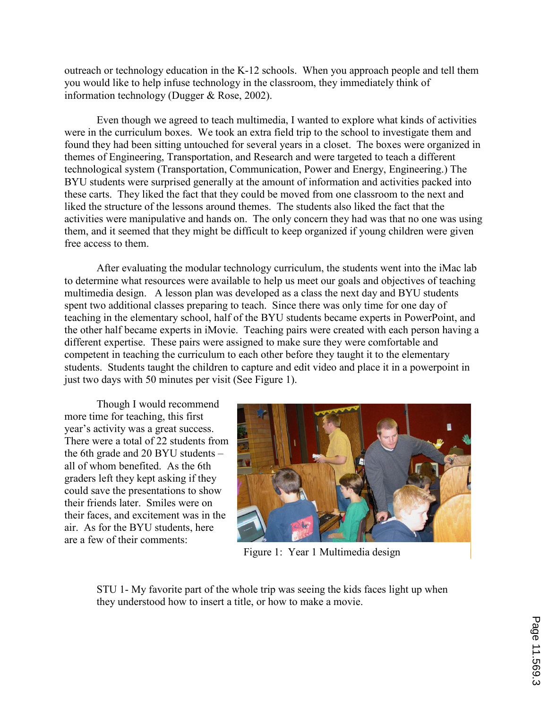outreach or technology education in the K-12 schools. When you approach people and tell them you would like to help infuse technology in the classroom, they immediately think of information technology (Dugger & Rose, 2002).

Even though we agreed to teach multimedia, I wanted to explore what kinds of activities were in the curriculum boxes. We took an extra field trip to the school to investigate them and found they had been sitting untouched for several years in a closet. The boxes were organized in themes of Engineering, Transportation, and Research and were targeted to teach a different technological system (Transportation, Communication, Power and Energy, Engineering.) The BYU students were surprised generally at the amount of information and activities packed into these carts. They liked the fact that they could be moved from one classroom to the next and liked the structure of the lessons around themes. The students also liked the fact that the activities were manipulative and hands on. The only concern they had was that no one was using them, and it seemed that they might be difficult to keep organized if young children were given free access to them.

 After evaluating the modular technology curriculum, the students went into the iMac lab to determine what resources were available to help us meet our goals and objectives of teaching multimedia design. A lesson plan was developed as a class the next day and BYU students spent two additional classes preparing to teach. Since there was only time for one day of teaching in the elementary school, half of the BYU students became experts in PowerPoint, and the other half became experts in iMovie. Teaching pairs were created with each person having a different expertise. These pairs were assigned to make sure they were comfortable and competent in teaching the curriculum to each other before they taught it to the elementary students. Students taught the children to capture and edit video and place it in a powerpoint in just two days with 50 minutes per visit (See Figure 1).

 Though I would recommend more time for teaching, this first year's activity was a great success. There were a total of 22 students from the 6th grade and 20 BYU students – all of whom benefited. As the 6th graders left they kept asking if they could save the presentations to show their friends later. Smiles were on their faces, and excitement was in the air. As for the BYU students, here are a few of their comments:



Figure 1: Year 1 Multimedia design

STU 1- My favorite part of the whole trip was seeing the kids faces light up when they understood how to insert a title, or how to make a movie.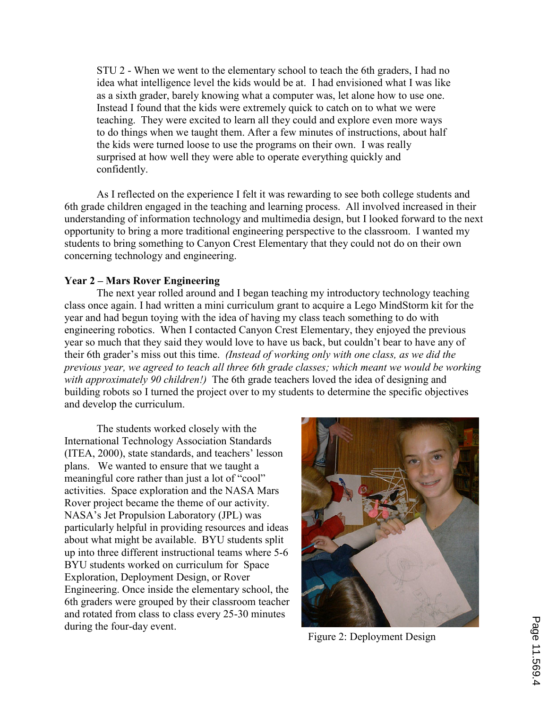STU 2 - When we went to the elementary school to teach the 6th graders, I had no idea what intelligence level the kids would be at. I had envisioned what I was like as a sixth grader, barely knowing what a computer was, let alone how to use one. Instead I found that the kids were extremely quick to catch on to what we were teaching. They were excited to learn all they could and explore even more ways to do things when we taught them. After a few minutes of instructions, about half the kids were turned loose to use the programs on their own. I was really surprised at how well they were able to operate everything quickly and confidently.

 As I reflected on the experience I felt it was rewarding to see both college students and 6th grade children engaged in the teaching and learning process. All involved increased in their understanding of information technology and multimedia design, but I looked forward to the next opportunity to bring a more traditional engineering perspective to the classroom. I wanted my students to bring something to Canyon Crest Elementary that they could not do on their own concerning technology and engineering.

## Year 2 – Mars Rover Engineering

 The next year rolled around and I began teaching my introductory technology teaching class once again. I had written a mini curriculum grant to acquire a Lego MindStorm kit for the year and had begun toying with the idea of having my class teach something to do with engineering robotics. When I contacted Canyon Crest Elementary, they enjoyed the previous year so much that they said they would love to have us back, but couldn't bear to have any of their 6th grader's miss out this time. (Instead of working only with one class, as we did the previous year, we agreed to teach all three 6th grade classes; which meant we would be working with approximately 90 children!) The 6th grade teachers loved the idea of designing and building robots so I turned the project over to my students to determine the specific objectives and develop the curriculum.

 The students worked closely with the International Technology Association Standards (ITEA, 2000), state standards, and teachers' lesson plans. We wanted to ensure that we taught a meaningful core rather than just a lot of "cool" activities. Space exploration and the NASA Mars Rover project became the theme of our activity. NASA's Jet Propulsion Laboratory (JPL) was particularly helpful in providing resources and ideas about what might be available. BYU students split up into three different instructional teams where 5-6 BYU students worked on curriculum for Space Exploration, Deployment Design, or Rover Engineering. Once inside the elementary school, the 6th graders were grouped by their classroom teacher and rotated from class to class every 25-30 minutes during the four-day event.



Figure 2: Deployment Design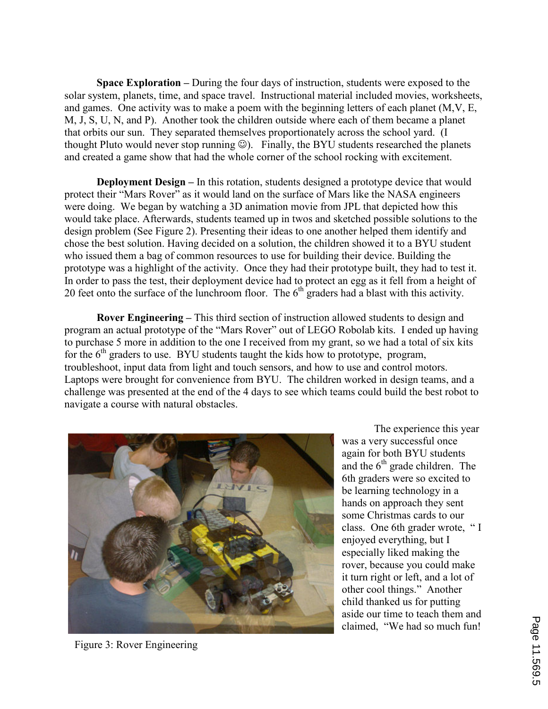Space Exploration – During the four days of instruction, students were exposed to the solar system, planets, time, and space travel. Instructional material included movies, worksheets, and games. One activity was to make a poem with the beginning letters of each planet (M,V, E, M, J, S, U, N, and P). Another took the children outside where each of them became a planet that orbits our sun. They separated themselves proportionately across the school yard. (I thought Pluto would never stop running  $\circledcirc$ ). Finally, the BYU students researched the planets and created a game show that had the whole corner of the school rocking with excitement.

Deployment Design – In this rotation, students designed a prototype device that would protect their "Mars Rover" as it would land on the surface of Mars like the NASA engineers were doing. We began by watching a 3D animation movie from JPL that depicted how this would take place. Afterwards, students teamed up in twos and sketched possible solutions to the design problem (See Figure 2). Presenting their ideas to one another helped them identify and chose the best solution. Having decided on a solution, the children showed it to a BYU student who issued them a bag of common resources to use for building their device. Building the prototype was a highlight of the activity. Once they had their prototype built, they had to test it. In order to pass the test, their deployment device had to protect an egg as it fell from a height of 20 feet onto the surface of the lunchroom floor. The  $6<sup>th</sup>$  graders had a blast with this activity.

Rover Engineering – This third section of instruction allowed students to design and program an actual prototype of the "Mars Rover" out of LEGO Robolab kits. I ended up having to purchase 5 more in addition to the one I received from my grant, so we had a total of six kits for the  $6<sup>th</sup>$  graders to use. BYU students taught the kids how to prototype, program, troubleshoot, input data from light and touch sensors, and how to use and control motors. Laptops were brought for convenience from BYU. The children worked in design teams, and a challenge was presented at the end of the 4 days to see which teams could build the best robot to navigate a course with natural obstacles.



Figure 3: Rover Engineering

 The experience this year was a very successful once again for both BYU students and the  $6<sup>th</sup>$  grade children. The 6th graders were so excited to be learning technology in a hands on approach they sent some Christmas cards to our class. One 6th grader wrote, " I enjoyed everything, but I especially liked making the rover, because you could make it turn right or left, and a lot of other cool things." Another child thanked us for putting aside our time to teach them and claimed, "We had so much fun!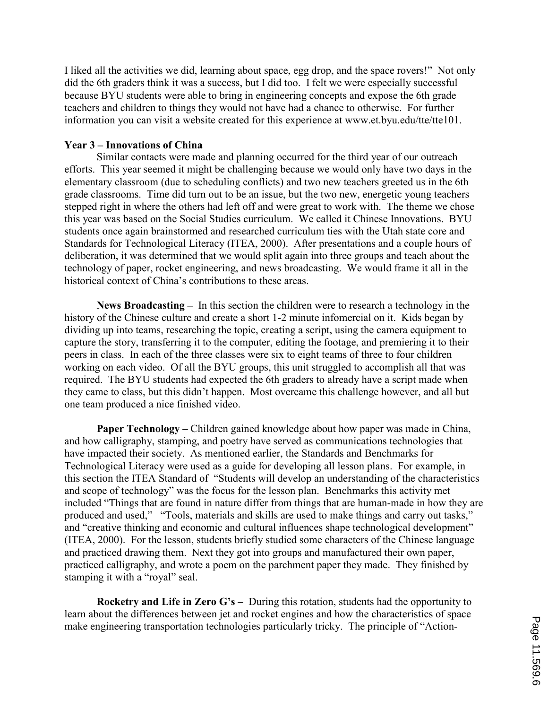I liked all the activities we did, learning about space, egg drop, and the space rovers!" Not only did the 6th graders think it was a success, but I did too. I felt we were especially successful because BYU students were able to bring in engineering concepts and expose the 6th grade teachers and children to things they would not have had a chance to otherwise. For further information you can visit a website created for this experience at www.et.byu.edu/tte/tte101.

## Year 3 – Innovations of China

 Similar contacts were made and planning occurred for the third year of our outreach efforts. This year seemed it might be challenging because we would only have two days in the elementary classroom (due to scheduling conflicts) and two new teachers greeted us in the 6th grade classrooms. Time did turn out to be an issue, but the two new, energetic young teachers stepped right in where the others had left off and were great to work with. The theme we chose this year was based on the Social Studies curriculum. We called it Chinese Innovations. BYU students once again brainstormed and researched curriculum ties with the Utah state core and Standards for Technological Literacy (ITEA, 2000). After presentations and a couple hours of deliberation, it was determined that we would split again into three groups and teach about the technology of paper, rocket engineering, and news broadcasting. We would frame it all in the historical context of China's contributions to these areas.

News Broadcasting – In this section the children were to research a technology in the history of the Chinese culture and create a short 1-2 minute infomercial on it. Kids began by dividing up into teams, researching the topic, creating a script, using the camera equipment to capture the story, transferring it to the computer, editing the footage, and premiering it to their peers in class. In each of the three classes were six to eight teams of three to four children working on each video. Of all the BYU groups, this unit struggled to accomplish all that was required. The BYU students had expected the 6th graders to already have a script made when they came to class, but this didn't happen. Most overcame this challenge however, and all but one team produced a nice finished video.

Paper Technology – Children gained knowledge about how paper was made in China, and how calligraphy, stamping, and poetry have served as communications technologies that have impacted their society. As mentioned earlier, the Standards and Benchmarks for Technological Literacy were used as a guide for developing all lesson plans. For example, in this section the ITEA Standard of "Students will develop an understanding of the characteristics and scope of technology" was the focus for the lesson plan. Benchmarks this activity met included "Things that are found in nature differ from things that are human-made in how they are produced and used," "Tools, materials and skills are used to make things and carry out tasks," and "creative thinking and economic and cultural influences shape technological development" (ITEA, 2000). For the lesson, students briefly studied some characters of the Chinese language and practiced drawing them. Next they got into groups and manufactured their own paper, practiced calligraphy, and wrote a poem on the parchment paper they made. They finished by stamping it with a "royal" seal.

Rocketry and Life in Zero  $G$ 's – During this rotation, students had the opportunity to learn about the differences between jet and rocket engines and how the characteristics of space make engineering transportation technologies particularly tricky. The principle of "Action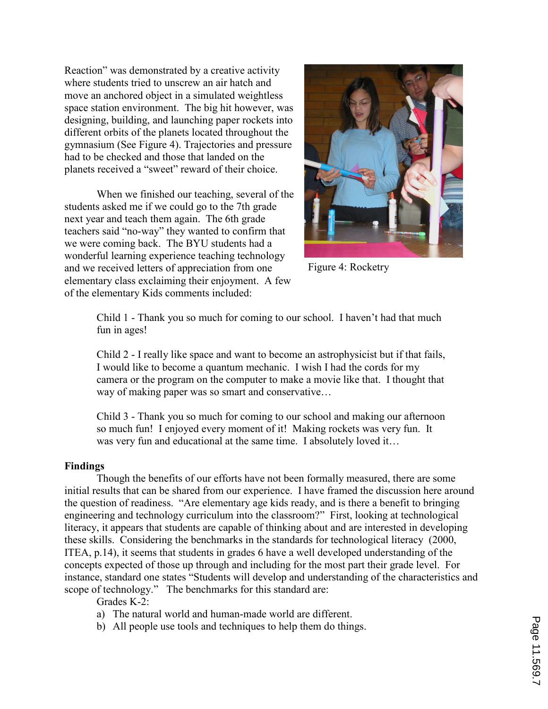Reaction" was demonstrated by a creative activity where students tried to unscrew an air hatch and move an anchored object in a simulated weightless space station environment. The big hit however, was designing, building, and launching paper rockets into different orbits of the planets located throughout the gymnasium (See Figure 4). Trajectories and pressure had to be checked and those that landed on the planets received a "sweet" reward of their choice.

 When we finished our teaching, several of the students asked me if we could go to the 7th grade next year and teach them again. The 6th grade teachers said "no-way" they wanted to confirm that we were coming back. The BYU students had a wonderful learning experience teaching technology and we received letters of appreciation from one elementary class exclaiming their enjoyment. A few of the elementary Kids comments included:



Figure 4: Rocketry

Child 1 - Thank you so much for coming to our school. I haven't had that much fun in ages!

Child 2 - I really like space and want to become an astrophysicist but if that fails, I would like to become a quantum mechanic. I wish I had the cords for my camera or the program on the computer to make a movie like that. I thought that way of making paper was so smart and conservative…

Child 3 - Thank you so much for coming to our school and making our afternoon so much fun! I enjoyed every moment of it! Making rockets was very fun. It was very fun and educational at the same time. I absolutely loved it...

#### Findings

Though the benefits of our efforts have not been formally measured, there are some initial results that can be shared from our experience. I have framed the discussion here around the question of readiness. "Are elementary age kids ready, and is there a benefit to bringing engineering and technology curriculum into the classroom?" First, looking at technological literacy, it appears that students are capable of thinking about and are interested in developing these skills. Considering the benchmarks in the standards for technological literacy (2000, ITEA, p.14), it seems that students in grades 6 have a well developed understanding of the concepts expected of those up through and including for the most part their grade level. For instance, standard one states "Students will develop and understanding of the characteristics and scope of technology." The benchmarks for this standard are:

Grades K-2:

- a) The natural world and human-made world are different.
- b) All people use tools and techniques to help them do things.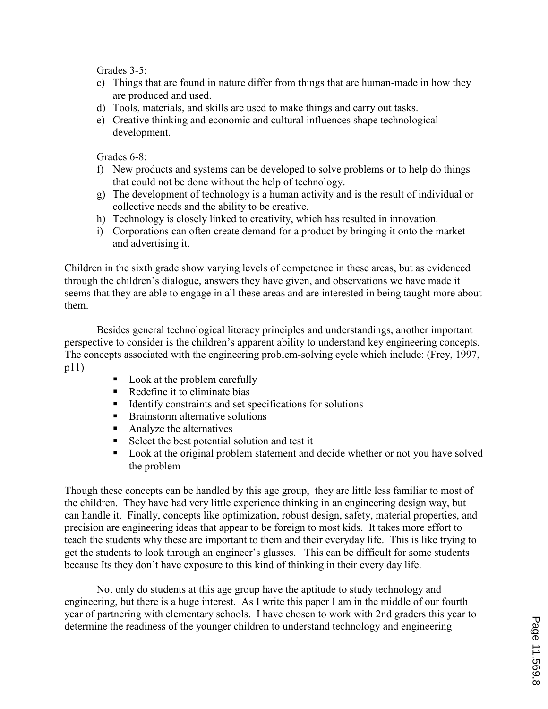Grades 3-5:

- c) Things that are found in nature differ from things that are human-made in how they are produced and used.
- d) Tools, materials, and skills are used to make things and carry out tasks.
- e) Creative thinking and economic and cultural influences shape technological development.

Grades 6-8:

- f) New products and systems can be developed to solve problems or to help do things that could not be done without the help of technology.
- g) The development of technology is a human activity and is the result of individual or collective needs and the ability to be creative.
- h) Technology is closely linked to creativity, which has resulted in innovation.
- i) Corporations can often create demand for a product by bringing it onto the market and advertising it.

Children in the sixth grade show varying levels of competence in these areas, but as evidenced through the children's dialogue, answers they have given, and observations we have made it seems that they are able to engage in all these areas and are interested in being taught more about them.

Besides general technological literacy principles and understandings, another important perspective to consider is the children's apparent ability to understand key engineering concepts. The concepts associated with the engineering problem-solving cycle which include: (Frey, 1997, p11)

- Look at the problem carefully
- Redefine it to eliminate bias
- **IDENTIFY CONSTRAINTS AND SET SPECIFICATIONS FOR SOLUTIONS**
- -Brainstorm alternative solutions
- **-** Analyze the alternatives
- -Select the best potential solution and test it
- - Look at the original problem statement and decide whether or not you have solved the problem

Though these concepts can be handled by this age group, they are little less familiar to most of the children. They have had very little experience thinking in an engineering design way, but can handle it. Finally, concepts like optimization, robust design, safety, material properties, and precision are engineering ideas that appear to be foreign to most kids. It takes more effort to teach the students why these are important to them and their everyday life. This is like trying to get the students to look through an engineer's glasses. This can be difficult for some students because Its they don't have exposure to this kind of thinking in their every day life.

Not only do students at this age group have the aptitude to study technology and engineering, but there is a huge interest. As I write this paper I am in the middle of our fourth year of partnering with elementary schools. I have chosen to work with 2nd graders this year to determine the readiness of the younger children to understand technology and engineering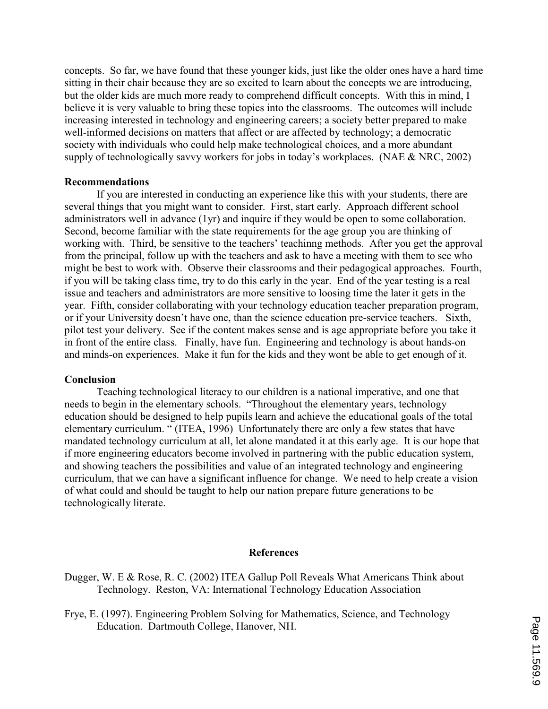concepts. So far, we have found that these younger kids, just like the older ones have a hard time sitting in their chair because they are so excited to learn about the concepts we are introducing, but the older kids are much more ready to comprehend difficult concepts. With this in mind, I believe it is very valuable to bring these topics into the classrooms. The outcomes will include increasing interested in technology and engineering careers; a society better prepared to make well-informed decisions on matters that affect or are affected by technology; a democratic society with individuals who could help make technological choices, and a more abundant supply of technologically savvy workers for jobs in today's workplaces. (NAE & NRC, 2002)

#### Recommendations

 If you are interested in conducting an experience like this with your students, there are several things that you might want to consider. First, start early. Approach different school administrators well in advance (1yr) and inquire if they would be open to some collaboration. Second, become familiar with the state requirements for the age group you are thinking of working with. Third, be sensitive to the teachers' teachinng methods. After you get the approval from the principal, follow up with the teachers and ask to have a meeting with them to see who might be best to work with. Observe their classrooms and their pedagogical approaches. Fourth, if you will be taking class time, try to do this early in the year. End of the year testing is a real issue and teachers and administrators are more sensitive to loosing time the later it gets in the year. Fifth, consider collaborating with your technology education teacher preparation program, or if your University doesn't have one, than the science education pre-service teachers. Sixth, pilot test your delivery. See if the content makes sense and is age appropriate before you take it in front of the entire class. Finally, have fun. Engineering and technology is about hands-on and minds-on experiences. Make it fun for the kids and they wont be able to get enough of it.

#### **Conclusion**

 Teaching technological literacy to our children is a national imperative, and one that needs to begin in the elementary schools. "Throughout the elementary years, technology education should be designed to help pupils learn and achieve the educational goals of the total elementary curriculum. " (ITEA, 1996) Unfortunately there are only a few states that have mandated technology curriculum at all, let alone mandated it at this early age. It is our hope that if more engineering educators become involved in partnering with the public education system, and showing teachers the possibilities and value of an integrated technology and engineering curriculum, that we can have a significant influence for change. We need to help create a vision of what could and should be taught to help our nation prepare future generations to be technologically literate.

#### References

- Dugger, W. E & Rose, R. C. (2002) ITEA Gallup Poll Reveals What Americans Think about Technology. Reston, VA: International Technology Education Association
- Frye, E. (1997). Engineering Problem Solving for Mathematics, Science, and Technology Education. Dartmouth College, Hanover, NH.